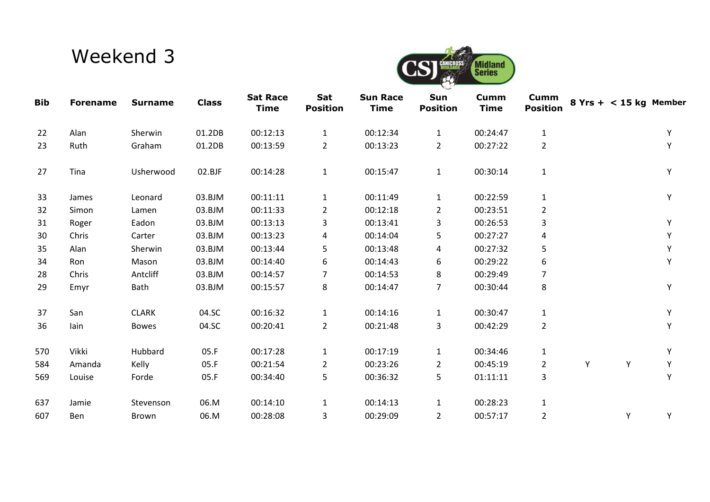## Weekend 3



| <b>Bib</b> | <b>Forename</b> | <b>Surname</b> | <b>Class</b> | <b>Sat Race</b><br><b>Time</b> | Sat<br><b>Position</b> | <b>Sun Race</b><br><b>Time</b> | Sun<br><b>Position</b> | Cumm<br><b>Time</b> | Cumm<br><b>Position</b> |   | $8$ Yrs + < 15 kg Member |   |
|------------|-----------------|----------------|--------------|--------------------------------|------------------------|--------------------------------|------------------------|---------------------|-------------------------|---|--------------------------|---|
| 22         | Alan            | Sherwin        | 01.2DB       | 00:12:13                       | $\mathbf{1}$           | 00:12:34                       | $\mathbf{1}$           | 00:24:47            | $\mathbf{1}$            |   |                          | Y |
| 23         | Ruth            | Graham         | 01.2DB       | 00:13:59                       | $\overline{2}$         | 00:13:23                       | $\overline{2}$         | 00:27:22            | $\overline{2}$          |   |                          | Y |
| 27         | Tina            | Usherwood      | 02.BJF       | 00:14:28                       | $\mathbf{1}$           | 00:15:47                       | $\mathbf{1}$           | 00:30:14            | $\mathbf{1}$            |   |                          | Y |
| 33         | James           | Leonard        | 03.BJM       | 00:11:11                       | $\mathbf{1}$           | 00:11:49                       | $\mathbf{1}$           | 00:22:59            | $\mathbf{1}$            |   |                          | Υ |
| 32         | Simon           | Lamen          | 03.BJM       | 00:11:33                       | $\overline{2}$         | 00:12:18                       | $\overline{2}$         | 00:23:51            | $\overline{2}$          |   |                          |   |
| 31         | Roger           | Eadon          | 03.BJM       | 00:13:13                       | 3                      | 00:13:41                       | 3                      | 00:26:53            | 3                       |   |                          | Υ |
| 30         | Chris           | Carter         | 03.BJM       | 00:13:23                       | 4                      | 00:14:04                       | 5                      | 00:27:27            | 4                       |   |                          |   |
| 35         | Alan            | Sherwin        | 03.BJM       | 00:13:44                       | 5                      | 00:13:48                       | 4                      | 00:27:32            | 5                       |   |                          |   |
| 34         | <b>Ron</b>      | Mason          | 03.BJM       | 00:14:40                       | 6                      | 00:14:43                       | 6                      | 00:29:22            | 6                       |   |                          | Y |
| 28         | Chris           | Antcliff       | 03.BJM       | 00:14:57                       | 7                      | 00:14:53                       | 8                      | 00:29:49            | $\overline{7}$          |   |                          |   |
| 29         | Emyr            | Bath           | 03.BJM       | 00:15:57                       | 8                      | 00:14:47                       | $\overline{7}$         | 00:30:44            | 8                       |   |                          | Y |
| 37         | San             | <b>CLARK</b>   | 04.SC        | 00:16:32                       | $\mathbf{1}$           | 00:14:16                       | $\mathbf{1}$           | 00:30:47            | $\mathbf{1}$            |   |                          | Y |
| 36         | lain            | <b>Bowes</b>   | 04.SC        | 00:20:41                       | $\overline{2}$         | 00:21:48                       | 3                      | 00:42:29            | $\overline{2}$          |   |                          | Y |
| 570        | Vikki           | Hubbard        | 05.F         | 00:17:28                       | $\mathbf{1}$           | 00:17:19                       | $\mathbf{1}$           | 00:34:46            | $\mathbf{1}$            |   |                          | Y |
| 584        | Amanda          | Kelly          | 05.F         | 00:21:54                       | $\overline{2}$         | 00:23:26                       | $\overline{2}$         | 00:45:19            | $\overline{2}$          | Y | Υ                        | Y |
| 569        | Louise          | Forde          | 05.F         | 00:34:40                       | 5                      | 00:36:32                       | 5                      | 01:11:11            | 3                       |   |                          | Y |
| 637        | Jamie           | Stevenson      | 06.M         | 00:14:10                       | $\mathbf{1}$           | 00:14:13                       | $\mathbf{1}$           | 00:28:23            | $\mathbf{1}$            |   |                          |   |
| 607        | Ben             | Brown          | 06.M         | 00:28:08                       | 3                      | 00:29:09                       | $\overline{2}$         | 00:57:17            | $\overline{2}$          |   | Υ                        | Υ |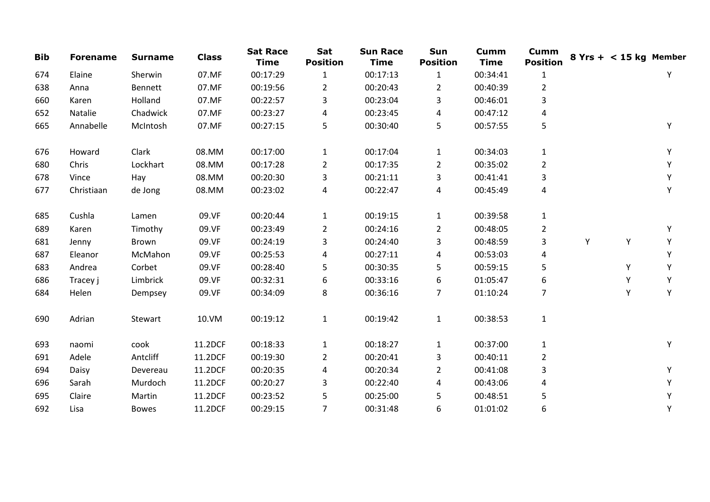| <b>Bib</b> | <b>Forename</b> | <b>Surname</b> | <b>Class</b> | <b>Sat Race</b><br><b>Time</b> | Sat<br><b>Position</b> | <b>Sun Race</b><br><b>Time</b> | Sun<br><b>Position</b> | <b>Cumm</b><br><b>Time</b> | <b>Cumm</b><br><b>Position</b> |   | $8$ Yrs + < 15 kg Member |   |
|------------|-----------------|----------------|--------------|--------------------------------|------------------------|--------------------------------|------------------------|----------------------------|--------------------------------|---|--------------------------|---|
| 674        | Elaine          | Sherwin        | 07.MF        | 00:17:29                       | $\mathbf{1}$           | 00:17:13                       | $\mathbf{1}$           | 00:34:41                   | $\mathbf{1}$                   |   |                          | Υ |
| 638        | Anna            | <b>Bennett</b> | 07.MF        | 00:19:56                       | $\overline{2}$         | 00:20:43                       | $\overline{2}$         | 00:40:39                   | $\overline{2}$                 |   |                          |   |
| 660        | Karen           | Holland        | 07.MF        | 00:22:57                       | 3                      | 00:23:04                       | 3                      | 00:46:01                   | 3                              |   |                          |   |
| 652        | Natalie         | Chadwick       | 07.MF        | 00:23:27                       | 4                      | 00:23:45                       | 4                      | 00:47:12                   | 4                              |   |                          |   |
| 665        | Annabelle       | McIntosh       | 07.MF        | 00:27:15                       | 5                      | 00:30:40                       | 5                      | 00:57:55                   | 5                              |   |                          | Υ |
| 676        | Howard          | Clark          | 08.MM        | 00:17:00                       | $\mathbf{1}$           | 00:17:04                       | 1                      | 00:34:03                   | $\mathbf{1}$                   |   |                          | Υ |
| 680        | Chris           | Lockhart       | 08.MM        | 00:17:28                       | $\overline{2}$         | 00:17:35                       | $\overline{2}$         | 00:35:02                   | $\overline{2}$                 |   |                          | Υ |
| 678        | Vince           | Hay            | 08.MM        | 00:20:30                       | 3                      | 00:21:11                       | 3                      | 00:41:41                   | 3                              |   |                          | Y |
| 677        | Christiaan      | de Jong        | 08.MM        | 00:23:02                       | 4                      | 00:22:47                       | 4                      | 00:45:49                   | 4                              |   |                          | Υ |
| 685        | Cushla          | Lamen          | 09.VF        | 00:20:44                       | $\mathbf{1}$           | 00:19:15                       | $\mathbf{1}$           | 00:39:58                   | $\mathbf{1}$                   |   |                          |   |
| 689        | Karen           | Timothy        | 09.VF        | 00:23:49                       | $\overline{2}$         | 00:24:16                       | $\overline{2}$         | 00:48:05                   | $\overline{2}$                 |   |                          | Υ |
| 681        | Jenny           | Brown          | 09.VF        | 00:24:19                       | 3                      | 00:24:40                       | 3                      | 00:48:59                   | 3                              | Υ | Y                        | Υ |
| 687        | Eleanor         | McMahon        | 09.VF        | 00:25:53                       | 4                      | 00:27:11                       | 4                      | 00:53:03                   | 4                              |   |                          | Y |
| 683        | Andrea          | Corbet         | 09.VF        | 00:28:40                       | 5                      | 00:30:35                       | 5                      | 00:59:15                   | 5                              |   | Υ                        | Υ |
| 686        | Tracey j        | Limbrick       | 09.VF        | 00:32:31                       | 6                      | 00:33:16                       | 6                      | 01:05:47                   | 6                              |   | Υ                        | Υ |
| 684        | Helen           | Dempsey        | 09.VF        | 00:34:09                       | 8                      | 00:36:16                       | $\overline{7}$         | 01:10:24                   | $\overline{7}$                 |   | Y                        | Y |
| 690        | Adrian          | Stewart        | 10.VM        | 00:19:12                       | $\mathbf{1}$           | 00:19:42                       | $\mathbf{1}$           | 00:38:53                   | $\mathbf{1}$                   |   |                          |   |
| 693        | naomi           | cook           | 11.2DCF      | 00:18:33                       | $\mathbf{1}$           | 00:18:27                       | $\mathbf{1}$           | 00:37:00                   | $\mathbf{1}$                   |   |                          | Υ |
| 691        | Adele           | Antcliff       | 11.2DCF      | 00:19:30                       | $\overline{2}$         | 00:20:41                       | 3                      | 00:40:11                   | $\overline{2}$                 |   |                          |   |
| 694        | Daisy           | Devereau       | 11.2DCF      | 00:20:35                       | 4                      | 00:20:34                       | 2                      | 00:41:08                   | 3                              |   |                          | Y |
| 696        | Sarah           | Murdoch        | 11.2DCF      | 00:20:27                       | 3                      | 00:22:40                       | 4                      | 00:43:06                   | 4                              |   |                          | Υ |
| 695        | Claire          | Martin         | 11.2DCF      | 00:23:52                       | 5                      | 00:25:00                       | 5                      | 00:48:51                   | 5                              |   |                          | Υ |
| 692        | Lisa            | <b>Bowes</b>   | 11.2DCF      | 00:29:15                       | $\overline{7}$         | 00:31:48                       | 6                      | 01:01:02                   | 6                              |   |                          | Υ |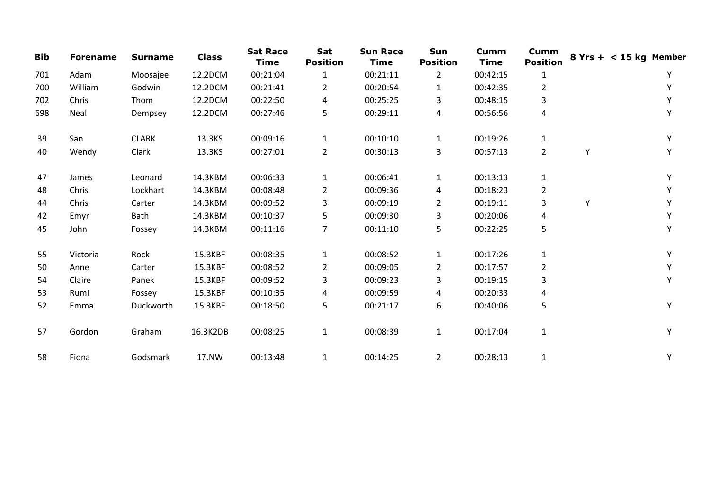| <b>Bib</b> | <b>Forename</b> | <b>Surname</b> | <b>Class</b> | <b>Sat Race</b><br><b>Time</b> | Sat<br><b>Position</b> | <b>Sun Race</b><br><b>Time</b> | Sun<br><b>Position</b> | <b>Cumm</b><br><b>Time</b> | <b>Cumm</b><br><b>Position</b> |   | $8$ Yrs + < 15 kg Member |
|------------|-----------------|----------------|--------------|--------------------------------|------------------------|--------------------------------|------------------------|----------------------------|--------------------------------|---|--------------------------|
| 701        | Adam            | Moosajee       | 12.2DCM      | 00:21:04                       | 1                      | 00:21:11                       | $\overline{2}$         | 00:42:15                   | $\mathbf{1}$                   |   | Υ                        |
| 700        | William         | Godwin         | 12.2DCM      | 00:21:41                       | $\mathbf{2}$           | 00:20:54                       | $\mathbf{1}$           | 00:42:35                   | $\overline{2}$                 |   | Υ                        |
| 702        | Chris           | Thom           | 12.2DCM      | 00:22:50                       | 4                      | 00:25:25                       | 3                      | 00:48:15                   | 3                              |   |                          |
| 698        | Neal            | Dempsey        | 12.2DCM      | 00:27:46                       | 5                      | 00:29:11                       | 4                      | 00:56:56                   | 4                              |   | Υ                        |
| 39         | San             | <b>CLARK</b>   | 13.3KS       | 00:09:16                       | $\mathbf{1}$           | 00:10:10                       | $\mathbf{1}$           | 00:19:26                   | $\mathbf{1}$                   |   | Υ                        |
| 40         | Wendy           | Clark          | 13.3KS       | 00:27:01                       | $\overline{2}$         | 00:30:13                       | 3                      | 00:57:13                   | $\overline{2}$                 | Y | v                        |
| 47         | James           | Leonard        | 14.3KBM      | 00:06:33                       | $\mathbf{1}$           | 00:06:41                       | $\mathbf{1}$           | 00:13:13                   | $\mathbf{1}$                   |   | Y                        |
| 48         | Chris           | Lockhart       | 14.3KBM      | 00:08:48                       | $\overline{2}$         | 00:09:36                       | 4                      | 00:18:23                   | $\overline{2}$                 |   |                          |
| 44         | Chris           | Carter         | 14.3KBM      | 00:09:52                       | 3                      | 00:09:19                       | $\overline{2}$         | 00:19:11                   | 3                              | Y |                          |
| 42         | Emyr            | Bath           | 14.3KBM      | 00:10:37                       | 5                      | 00:09:30                       | 3                      | 00:20:06                   | 4                              |   |                          |
| 45         | John            | Fossey         | 14.3KBM      | 00:11:16                       | $\overline{7}$         | 00:11:10                       | 5                      | 00:22:25                   | 5                              |   | Υ                        |
| 55         | Victoria        | Rock           | 15.3KBF      | 00:08:35                       | $\mathbf{1}$           | 00:08:52                       | $\mathbf{1}$           | 00:17:26                   | $\mathbf{1}$                   |   | Y                        |
| 50         | Anne            | Carter         | 15.3KBF      | 00:08:52                       | $\overline{2}$         | 00:09:05                       | $\overline{2}$         | 00:17:57                   | $\overline{2}$                 |   |                          |
| 54         | Claire          | Panek          | 15.3KBF      | 00:09:52                       | 3                      | 00:09:23                       | 3                      | 00:19:15                   | 3                              |   | Υ                        |
| 53         | Rumi            | Fossey         | 15.3KBF      | 00:10:35                       | 4                      | 00:09:59                       | 4                      | 00:20:33                   | 4                              |   |                          |
| 52         | Emma            | Duckworth      | 15.3KBF      | 00:18:50                       | 5                      | 00:21:17                       | 6                      | 00:40:06                   | 5                              |   | Y                        |
| 57         | Gordon          | Graham         | 16.3K2DB     | 00:08:25                       | $\mathbf{1}$           | 00:08:39                       | $\mathbf{1}$           | 00:17:04                   | $\mathbf{1}$                   |   | Y                        |
| 58         | Fiona           | Godsmark       | 17.NW        | 00:13:48                       | $\mathbf{1}$           | 00:14:25                       | $\overline{2}$         | 00:28:13                   | $\mathbf{1}$                   |   | Υ                        |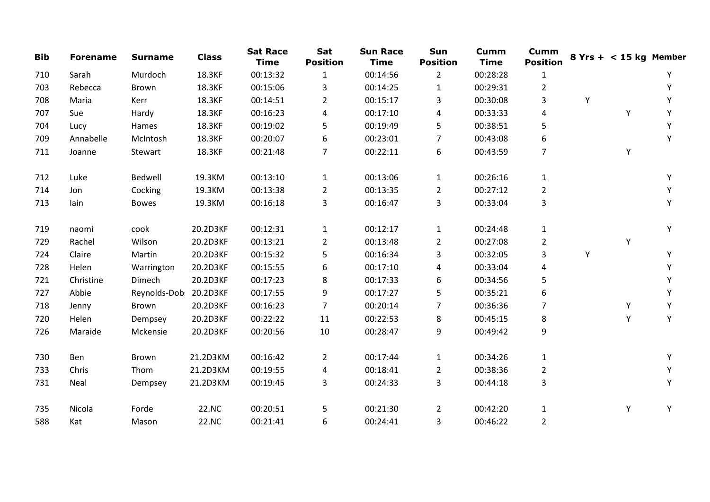| <b>Bib</b> | <b>Forename</b> | <b>Surname</b>         | <b>Class</b> | <b>Sat Race</b><br><b>Time</b> | Sat<br><b>Position</b> | <b>Sun Race</b><br><b>Time</b> | Sun<br><b>Position</b> | <b>Cumm</b><br><b>Time</b> | <b>Cumm</b><br><b>Position</b> |   | $8$ Yrs + < 15 kg Member |   |
|------------|-----------------|------------------------|--------------|--------------------------------|------------------------|--------------------------------|------------------------|----------------------------|--------------------------------|---|--------------------------|---|
| 710        | Sarah           | Murdoch                | 18.3KF       | 00:13:32                       | 1                      | 00:14:56                       | $\overline{2}$         | 00:28:28                   | $\mathbf{1}$                   |   |                          |   |
| 703        | Rebecca         | Brown                  | 18.3KF       | 00:15:06                       | 3                      | 00:14:25                       | $\mathbf{1}$           | 00:29:31                   | $\overline{2}$                 |   |                          | Y |
| 708        | Maria           | Kerr                   | 18.3KF       | 00:14:51                       | 2                      | 00:15:17                       | 3                      | 00:30:08                   | 3                              | Υ |                          |   |
| 707        | Sue             | Hardy                  | 18.3KF       | 00:16:23                       | 4                      | 00:17:10                       | 4                      | 00:33:33                   | 4                              |   | Y                        | Y |
| 704        | Lucy            | Hames                  | 18.3KF       | 00:19:02                       | 5                      | 00:19:49                       | 5                      | 00:38:51                   | 5                              |   |                          | Y |
| 709        | Annabelle       | McIntosh               | 18.3KF       | 00:20:07                       | 6                      | 00:23:01                       | 7                      | 00:43:08                   | 6                              |   |                          | Y |
| 711        | Joanne          | Stewart                | 18.3KF       | 00:21:48                       | $\overline{7}$         | 00:22:11                       | 6                      | 00:43:59                   | $\overline{7}$                 |   | Υ                        |   |
| 712        | Luke            | Bedwell                | 19.3KM       | 00:13:10                       | $\mathbf{1}$           | 00:13:06                       | $\mathbf{1}$           | 00:26:16                   | $\mathbf{1}$                   |   |                          | Υ |
| 714        | Jon             | Cocking                | 19.3KM       | 00:13:38                       | $\overline{2}$         | 00:13:35                       | $\overline{2}$         | 00:27:12                   | $\overline{2}$                 |   |                          |   |
| 713        | lain            | <b>Bowes</b>           | 19.3KM       | 00:16:18                       | 3                      | 00:16:47                       | 3                      | 00:33:04                   | 3                              |   |                          | Υ |
| 719        | naomi           | cook                   | 20.2D3KF     | 00:12:31                       | $\mathbf{1}$           | 00:12:17                       | $\mathbf{1}$           | 00:24:48                   | $\mathbf{1}$                   |   |                          | Y |
| 729        | Rachel          | Wilson                 | 20.2D3KF     | 00:13:21                       | $\overline{2}$         | 00:13:48                       | $\overline{2}$         | 00:27:08                   | $\overline{2}$                 |   | Y                        |   |
| 724        | Claire          | Martin                 | 20.2D3KF     | 00:15:32                       | 5                      | 00:16:34                       | 3                      | 00:32:05                   | 3                              | Y |                          | Y |
| 728        | Helen           | Warrington             | 20.2D3KF     | 00:15:55                       | 6                      | 00:17:10                       | 4                      | 00:33:04                   | 4                              |   |                          | Υ |
| 721        | Christine       | Dimech                 | 20.2D3KF     | 00:17:23                       | 8                      | 00:17:33                       | 6                      | 00:34:56                   | 5                              |   |                          | Υ |
| 727        | Abbie           | Reynolds-Dob: 20.2D3KF |              | 00:17:55                       | 9                      | 00:17:27                       | 5                      | 00:35:21                   | 6                              |   |                          | Υ |
| 718        | Jenny           | Brown                  | 20.2D3KF     | 00:16:23                       | 7                      | 00:20:14                       | 7                      | 00:36:36                   | $\overline{7}$                 |   | Υ                        | Υ |
| 720        | Helen           | Dempsey                | 20.2D3KF     | 00:22:22                       | 11                     | 00:22:53                       | 8                      | 00:45:15                   | 8                              |   | Υ                        | Y |
| 726        | Maraide         | Mckensie               | 20.2D3KF     | 00:20:56                       | 10                     | 00:28:47                       | 9                      | 00:49:42                   | 9                              |   |                          |   |
| 730        | Ben             | Brown                  | 21.2D3KM     | 00:16:42                       | $\overline{2}$         | 00:17:44                       | $\mathbf{1}$           | 00:34:26                   | $\mathbf{1}$                   |   |                          | Y |
| 733        | Chris           | Thom                   | 21.2D3KM     | 00:19:55                       | 4                      | 00:18:41                       | $\overline{2}$         | 00:38:36                   | 2                              |   |                          | Y |
| 731        | Neal            | Dempsey                | 21.2D3KM     | 00:19:45                       | 3                      | 00:24:33                       | 3                      | 00:44:18                   | $\mathsf{3}$                   |   |                          | Y |
| 735        | Nicola          | Forde                  | 22.NC        | 00:20:51                       | 5                      | 00:21:30                       | $\overline{2}$         | 00:42:20                   | $\mathbf{1}$                   |   | Υ                        | Y |
| 588        | Kat             | Mason                  | 22.NC        | 00:21:41                       | 6                      | 00:24:41                       | 3                      | 00:46:22                   | $\overline{2}$                 |   |                          |   |